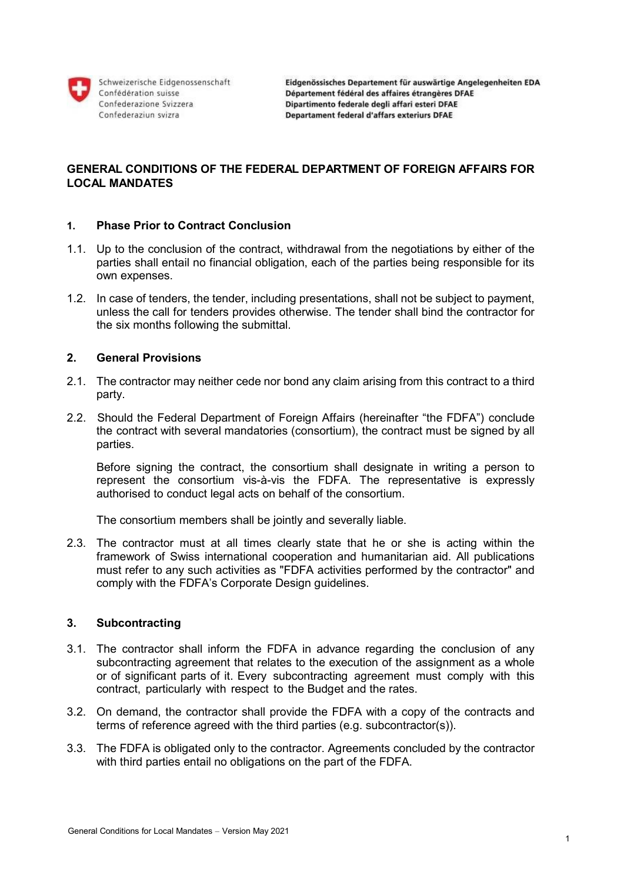

Schweizerische Eidgenossenschaft Confédération suisse Confederazione Svizzera Confederaziun svizra

# **GENERAL CONDITIONS OF THE FEDERAL DEPARTMENT OF FOREIGN AFFAIRS FOR LOCAL MANDATES**

### **1. Phase Prior to Contract Conclusion**

- 1.1. Up to the conclusion of the contract, withdrawal from the negotiations by either of the parties shall entail no financial obligation, each of the parties being responsible for its own expenses.
- 1.2. In case of tenders, the tender, including presentations, shall not be subject to payment, unless the call for tenders provides otherwise. The tender shall bind the contractor for the six months following the submittal.

# **2. General Provisions**

- 2.1. The contractor may neither cede nor bond any claim arising from this contract to a third party.
- 2.2. Should the Federal Department of Foreign Affairs (hereinafter "the FDFA") conclude the contract with several mandatories (consortium), the contract must be signed by all parties.

Before signing the contract, the consortium shall designate in writing a person to represent the consortium vis-à-vis the FDFA. The representative is expressly authorised to conduct legal acts on behalf of the consortium.

The consortium members shall be jointly and severally liable.

2.3. The contractor must at all times clearly state that he or she is acting within the framework of Swiss international cooperation and humanitarian aid. All publications must refer to any such activities as "FDFA activities performed by the contractor" and comply with the FDFA's Corporate Design guidelines.

# **3. Subcontracting**

- 3.1. The contractor shall inform the FDFA in advance regarding the conclusion of any subcontracting agreement that relates to the execution of the assignment as a whole or of significant parts of it. Every subcontracting agreement must comply with this contract, particularly with respect to the Budget and the rates.
- 3.2. On demand, the contractor shall provide the FDFA with a copy of the contracts and terms of reference agreed with the third parties (e.g. subcontractor(s)).
- 3.3. The FDFA is obligated only to the contractor. Agreements concluded by the contractor with third parties entail no obligations on the part of the FDFA.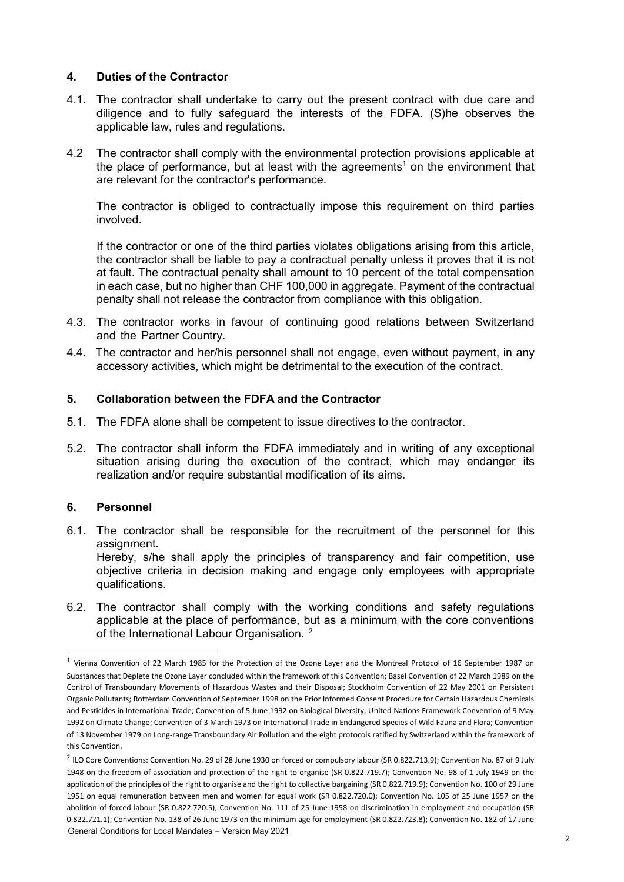# **4. Duties of the Contractor**

- 4.1. The contractor shall undertake to carry out the present contract with due care and diligence and to fully safeguard the interests of the FDFA. (S)he observes the applicable law, rules and regulations.
- 4.2 The contractor shall comply with the environmental protection provisions applicable at the place of performance, but at least with the agreements<sup>1</sup> on the environment that are relevant for the contractor's performance.

The contractor is obliged to contractually impose this requirement on third parties involved.

If the contractor or one of the third parties violates obligations arising from this article, the contractor shall be liable to pay a contractual penalty unless it proves that it is not at fault. The contractual penalty shall amount to 10 percent of the total compensation in each case, but no higher than CHF 100,000 in aggregate. Payment of the contractual penalty shall not release the contractor from compliance with this obligation.

- 4.3. The contractor works in favour of continuing good relations between Switzerland and the Partner Country.
- 4.4. The contractor and her/his personnel shall not engage, even without payment, in any accessory activities, which might be detrimental to the execution of the contract.

# **5. Collaboration between the FDFA and the Contractor**

- 5.1. The FDFA alone shall be competent to issue directives to the contractor.
- 5.2. The contractor shall inform the FDFA immediately and in writing of any exceptional situation arising during the execution of the contract, which may endanger its realization and/or require substantial modification of its aims.

# **6. Personnel**

 $\overline{\phantom{a}}$ 

- 6.1. The contractor shall be responsible for the recruitment of the personnel for this assignment. Hereby, s/he shall apply the principles of transparency and fair competition, use objective criteria in decision making and engage only employees with appropriate qualifications.
- 6.2. The contractor shall comply with the working conditions and safety regulations applicable at the place of performance, but as a minimum with the core conventions of the International Labour Organisation.<sup>2</sup>

<sup>&</sup>lt;sup>1</sup> Vienna Convention of 22 March 1985 for the Protection of the Ozone Layer and the Montreal Protocol of 16 September 1987 on Substances that Deplete the Ozone Layer concluded within the framework of this Convention; Basel Convention of 22 March 1989 on the Control of Transboundary Movements of Hazardous Wastes and their Disposal; Stockholm Convention of 22 May 2001 on Persistent Organic Pollutants; Rotterdam Convention of September 1998 on the Prior Informed Consent Procedure for Certain Hazardous Chemicals and Pesticides in International Trade; Convention of 5 June 1992 on Biological Diversity; United Nations Framework Convention of 9 May 1992 on Climate Change; Convention of 3 March 1973 on International Trade in Endangered Species of Wild Fauna and Flora; Convention of 13 November 1979 on Long-range Transboundary Air Pollution and the eight protocols ratified by Switzerland within the framework of this Convention.

General Conditions for Local Mandates – Version May 2021 2 ILO Core Conventions: Convention No. 29 of 28 June 1930 on forced or compulsory labour (SR 0.822.713.9); Convention No. 87 of 9 July 1948 on the freedom of association and protection of the right to organise (SR 0.822.719.7); Convention No. 98 of 1 July 1949 on the application of the principles of the right to organise and the right to collective bargaining (SR 0.822.719.9); Convention No. 100 of 29 June 1951 on equal remuneration between men and women for equal work (SR 0.822.720.0); Convention No. 105 of 25 June 1957 on the abolition of forced labour (SR 0.822.720.5); Convention No. 111 of 25 June 1958 on discrimination in employment and occupation (SR 0.822.721.1); Convention No. 138 of 26 June 1973 on the minimum age for employment (SR 0.822.723.8); Convention No. 182 of 17 June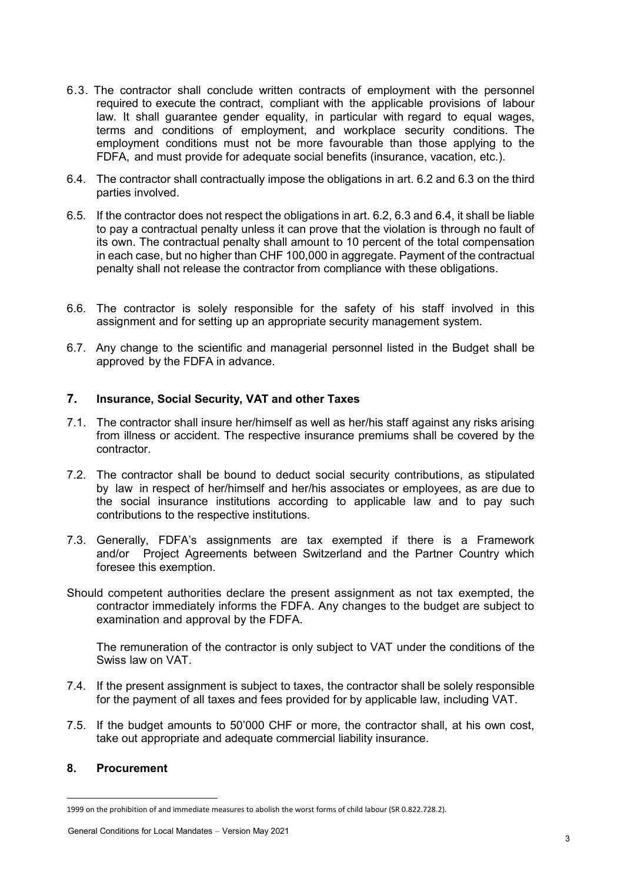- 6.3. The contractor shall conclude written contracts of employment with the personnel required to execute the contract, compliant with the applicable provisions of labour law. It shall guarantee gender equality, in particular with regard to equal wages, terms and conditions of employment, and workplace security conditions. The employment conditions must not be more favourable than those applying to the FDFA, and must provide for adequate social benefits (insurance, vacation, etc.).
- 6.4. The contractor shall contractually impose the obligations in art. 6.2 and 6.3 on the third parties involved.
- 6.5. If the contractor does not respect the obligations in art. 6.2, 6.3 and 6.4, it shall be liable to pay a contractual penalty unless it can prove that the violation is through no fault of its own. The contractual penalty shall amount to 10 percent of the total compensation in each case, but no higher than CHF 100,000 in aggregate. Payment of the contractual penalty shall not release the contractor from compliance with these obligations.
- 6.6. The contractor is solely responsible for the safety of his staff involved in this assignment and for setting up an appropriate security management system.
- 6.7. Any change to the scientific and managerial personnel listed in the Budget shall be approved by the FDFA in advance.

### **7. Insurance, Social Security, VAT and other Taxes**

- 7.1. The contractor shall insure her/himself as well as her/his staff against any risks arising from illness or accident. The respective insurance premiums shall be covered by the contractor.
- 7.2. The contractor shall be bound to deduct social security contributions, as stipulated by law in respect of her/himself and her/his associates or employees, as are due to the social insurance institutions according to applicable law and to pay such contributions to the respective institutions.
- 7.3. Generally, FDFA's assignments are tax exempted if there is a Framework and/or Project Agreements between Switzerland and the Partner Country which foresee this exemption.
- Should competent authorities declare the present assignment as not tax exempted, the contractor immediately informs the FDFA. Any changes to the budget are subject to examination and approval by the FDFA.

The remuneration of the contractor is only subject to VAT under the conditions of the Swiss law on VAT.

- 7.4. If the present assignment is subject to taxes, the contractor shall be solely responsible for the payment of all taxes and fees provided for by applicable law, including VAT.
- 7.5. If the budget amounts to 50'000 CHF or more, the contractor shall, at his own cost, take out appropriate and adequate commercial liability insurance.

#### **8. Procurement**

 $\overline{\phantom{a}}$ 

<sup>1999</sup> on the prohibition of and immediate measures to abolish the worst forms of child labour (SR 0.822.728.2).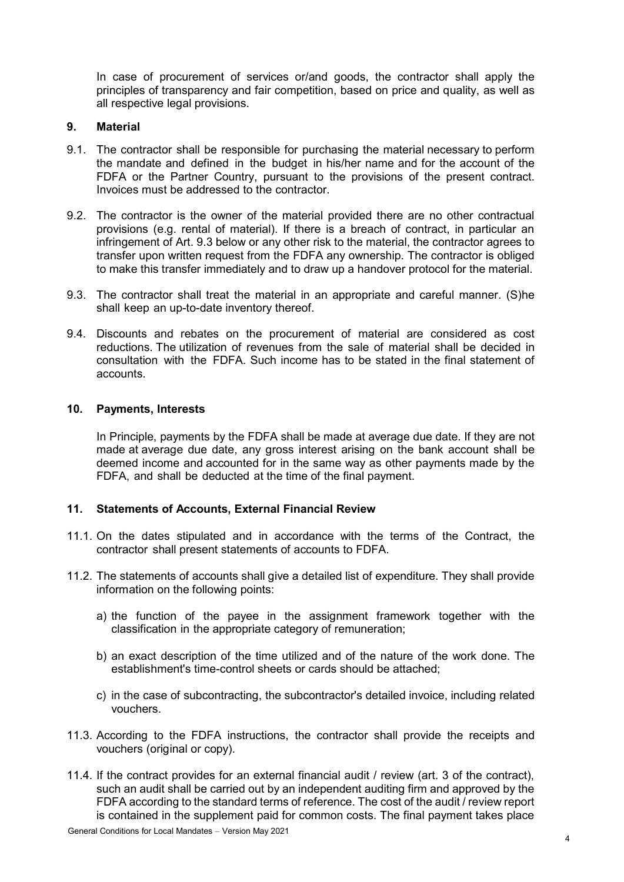In case of procurement of services or/and goods, the contractor shall apply the principles of transparency and fair competition, based on price and quality, as well as all respective legal provisions.

### **9. Material**

- 9.1. The contractor shall be responsible for purchasing the material necessary to perform the mandate and defined in the budget in his/her name and for the account of the FDFA or the Partner Country, pursuant to the provisions of the present contract. Invoices must be addressed to the contractor.
- 9.2. The contractor is the owner of the material provided there are no other contractual provisions (e.g. rental of material). If there is a breach of contract, in particular an infringement of Art. 9.3 below or any other risk to the material, the contractor agrees to transfer upon written request from the FDFA any ownership. The contractor is obliged to make this transfer immediately and to draw up a handover protocol for the material.
- 9.3. The contractor shall treat the material in an appropriate and careful manner. (S)he shall keep an up-to-date inventory thereof.
- 9.4. Discounts and rebates on the procurement of material are considered as cost reductions. The utilization of revenues from the sale of material shall be decided in consultation with the FDFA. Such income has to be stated in the final statement of accounts.

#### **10. Payments, Interests**

In Principle, payments by the FDFA shall be made at average due date. If they are not made at average due date, any gross interest arising on the bank account shall be deemed income and accounted for in the same way as other payments made by the FDFA, and shall be deducted at the time of the final payment.

#### **11. Statements of Accounts, External Financial Review**

- 11.1. On the dates stipulated and in accordance with the terms of the Contract, the contractor shall present statements of accounts to FDFA.
- 11.2. The statements of accounts shall give a detailed list of expenditure. They shall provide information on the following points:
	- a) the function of the payee in the assignment framework together with the classification in the appropriate category of remuneration;
	- b) an exact description of the time utilized and of the nature of the work done. The establishment's time-control sheets or cards should be attached;
	- c) in the case of subcontracting, the subcontractor's detailed invoice, including related vouchers.
- 11.3. According to the FDFA instructions, the contractor shall provide the receipts and vouchers (original or copy).
- 11.4. If the contract provides for an external financial audit / review (art. 3 of the contract), such an audit shall be carried out by an independent auditing firm and approved by the FDFA according to the standard terms of reference. The cost of the audit / review report is contained in the supplement paid for common costs. The final payment takes place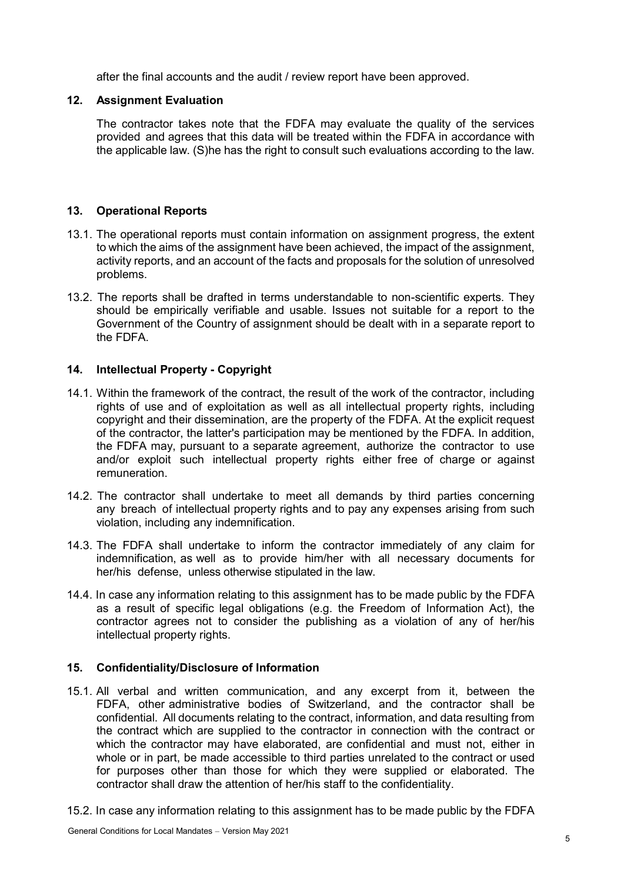after the final accounts and the audit / review report have been approved.

# **12. Assignment Evaluation**

The contractor takes note that the FDFA may evaluate the quality of the services provided and agrees that this data will be treated within the FDFA in accordance with the applicable law. (S)he has the right to consult such evaluations according to the law.

# **13. Operational Reports**

- 13.1. The operational reports must contain information on assignment progress, the extent to which the aims of the assignment have been achieved, the impact of the assignment, activity reports, and an account of the facts and proposals for the solution of unresolved problems.
- 13.2. The reports shall be drafted in terms understandable to non-scientific experts. They should be empirically verifiable and usable. Issues not suitable for a report to the Government of the Country of assignment should be dealt with in a separate report to the FDFA.

# **14. Intellectual Property - Copyright**

- 14.1. Within the framework of the contract, the result of the work of the contractor, including rights of use and of exploitation as well as all intellectual property rights, including copyright and their dissemination, are the property of the FDFA. At the explicit request of the contractor, the latter's participation may be mentioned by the FDFA. In addition, the FDFA may, pursuant to a separate agreement, authorize the contractor to use and/or exploit such intellectual property rights either free of charge or against remuneration.
- 14.2. The contractor shall undertake to meet all demands by third parties concerning any breach of intellectual property rights and to pay any expenses arising from such violation, including any indemnification.
- 14.3. The FDFA shall undertake to inform the contractor immediately of any claim for indemnification, as well as to provide him/her with all necessary documents for her/his defense, unless otherwise stipulated in the law.
- 14.4. In case any information relating to this assignment has to be made public by the FDFA as a result of specific legal obligations (e.g. the Freedom of Information Act), the contractor agrees not to consider the publishing as a violation of any of her/his intellectual property rights.

# **15. Confidentiality/Disclosure of Information**

- 15.1. All verbal and written communication, and any excerpt from it, between the FDFA, other administrative bodies of Switzerland, and the contractor shall be confidential. All documents relating to the contract, information, and data resulting from the contract which are supplied to the contractor in connection with the contract or which the contractor may have elaborated, are confidential and must not, either in whole or in part, be made accessible to third parties unrelated to the contract or used for purposes other than those for which they were supplied or elaborated. The contractor shall draw the attention of her/his staff to the confidentiality.
- 15.2. In case any information relating to this assignment has to be made public by the FDFA